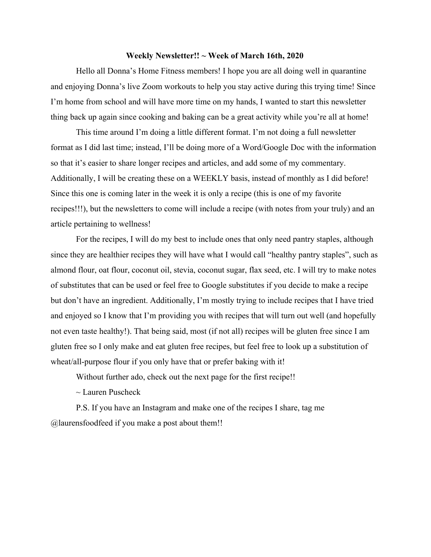#### **Weekly Newsletter!! ~ Week of March 16th, 2020**

Hello all Donna's Home Fitness members! I hope you are all doing well in quarantine and enjoying Donna's live Zoom workouts to help you stay active during this trying time! Since I'm home from school and will have more time on my hands, I wanted to start this newsletter thing back up again since cooking and baking can be a great activity while you're all at home!

This time around I'm doing a little different format. I'm not doing a full newsletter format as I did last time; instead, I'll be doing more of a Word/Google Doc with the information so that it's easier to share longer recipes and articles, and add some of my commentary. Additionally, I will be creating these on a WEEKLY basis, instead of monthly as I did before! Since this one is coming later in the week it is only a recipe (this is one of my favorite recipes!!!), but the newsletters to come will include a recipe (with notes from your truly) and an article pertaining to wellness!

For the recipes, I will do my best to include ones that only need pantry staples, although since they are healthier recipes they will have what I would call "healthy pantry staples", such as almond flour, oat flour, coconut oil, stevia, coconut sugar, flax seed, etc. I will try to make notes of substitutes that can be used or feel free to Google substitutes if you decide to make a recipe but don't have an ingredient. Additionally, I'm mostly trying to include recipes that I have tried and enjoyed so I know that I'm providing you with recipes that will turn out well (and hopefully not even taste healthy!). That being said, most (if not all) recipes will be gluten free since I am gluten free so I only make and eat gluten free recipes, but feel free to look up a substitution of wheat/all-purpose flour if you only have that or prefer baking with it!

Without further ado, check out the next page for the first recipe!!

 $\sim$  Lauren Puscheck

P.S. If you have an Instagram and make one of the recipes I share, tag me @laurensfoodfeed if you make a post about them!!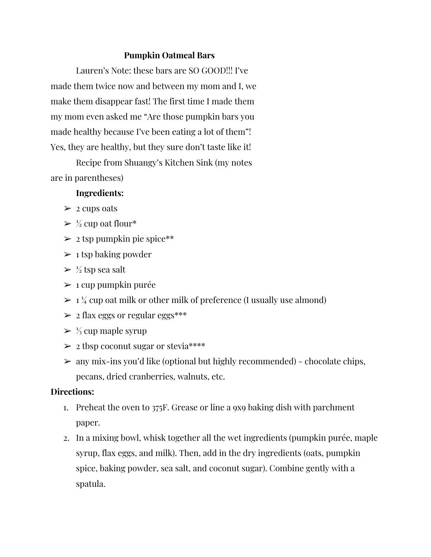## **Pumpkin Oatmeal Bars**

Lauren's Note: these bars are SO GOOD!!! I've made them twice now and between my mom and I, we make them disappear fast! The first time I made them my mom even asked me "Are those pumpkin bars you made healthy because I've been eating a lot of them"! Yes, they are healthy, but they sure don't taste like it!

Recipe from Shuangy's Kitchen Sink (my notes are in parentheses)

## **Ingredients:**

- $\geq$  2 cups oats
- $\geq \frac{1}{2}$  cup oat flour\*
- $\geq 2$  tsp pumpkin pie spice\*\*
- $\geq 1$  tsp baking powder
- $\geq \frac{1}{2}$  tsp sea salt
- $\triangleright$  1 cup pumpkin purée
- $> 1\frac{1}{4}$  cup oat milk or other milk of preference (I usually use almond)
- $\geq$  2 flax eggs or regular eggs\*\*\*
- $> \frac{1}{3}$  cup maple syrup
- $\geq 2$  tbsp coconut sugar or stevia\*\*\*\*
- $\geq$  any mix-ins you'd like (optional but highly recommended) chocolate chips, pecans, dried cranberries, walnuts, etc.

# **Directions:**

- 1. Preheat the oven to 375F. Grease or line a 9x9 baking dish with parchment paper.
- 2. In a mixing bowl, whisk together all the wet ingredients (pumpkin purée, maple syrup, flax eggs, and milk). Then, add in the dry ingredients (oats, pumpkin spice, baking powder, sea salt, and coconut sugar). Combine gently with a spatula.